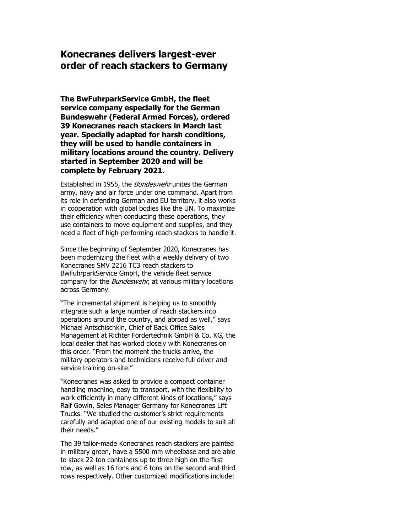## **Konecranes delivers largest-ever order of reach stackers to Germany**

**The BwFuhrparkService GmbH, the fleet service company especially for the German Bundeswehr (Federal Armed Forces), ordered 39 Konecranes reach stackers in March last year. Specially adapted for harsh conditions, they will be used to handle containers in military locations around the country. Delivery started in September 2020 and will be complete by February 2021.**

Established in 1955, the *Bundeswehr* unites the German army, navy and air force under one command. Apart from its role in defending German and EU territory, it also works in cooperation with global bodies like the UN. To maximize their efficiency when conducting these operations, they use containers to move equipment and supplies, and they need a fleet of high-performing reach stackers to handle it.

Since the beginning of September 2020, Konecranes has been modernizing the fleet with a weekly delivery of two Konecranes SMV 2216 TC3 reach stackers to BwFuhrparkService GmbH, the vehicle fleet service company for the *Bundeswehr*, at various military locations across Germany.

"The incremental shipment is helping us to smoothly integrate such a large number of reach stackers into operations around the country, and abroad as well," says Michael Antschischkin, Chief of Back Office Sales Management at Richter Fördertechnik GmbH & Co. KG, the local dealer that has worked closely with Konecranes on this order. "From the moment the trucks arrive, the military operators and technicians receive full driver and service training on-site."

"Konecranes was asked to provide a compact container handling machine, easy to transport, with the flexibility to work efficiently in many different kinds of locations," says Ralf Gowin, Sales Manager Germany for Konecranes Lift Trucks. "We studied the customer's strict requirements carefully and adapted one of our existing models to suit all their needs."

The 39 tailor-made Konecranes reach stackers are painted in military green, have a 5500 mm wheelbase and are able to stack 22-ton containers up to three high on the first row, as well as 16 tons and 6 tons on the second and third rows respectively. Other customized modifications include: